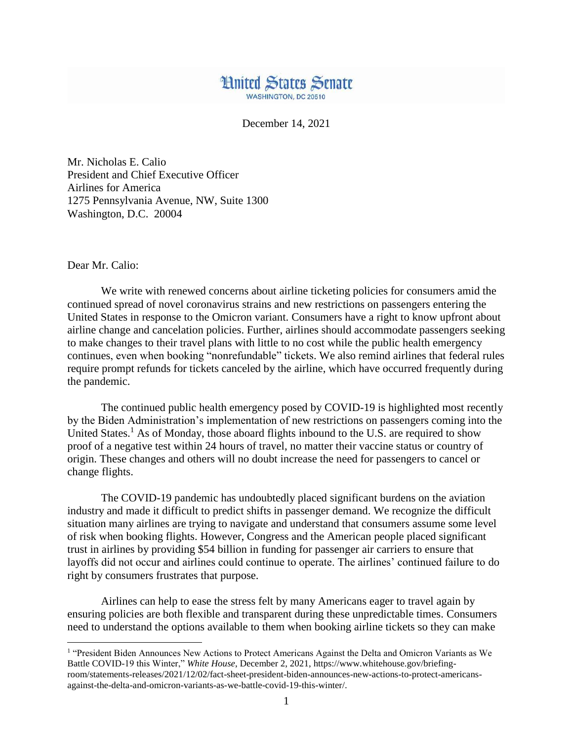

December 14, 2021

Mr. Nicholas E. Calio President and Chief Executive Officer Airlines for America 1275 Pennsylvania Avenue, NW, Suite 1300 Washington, D.C. 20004

Dear Mr. Calio:

 $\overline{a}$ 

We write with renewed concerns about airline ticketing policies for consumers amid the continued spread of novel coronavirus strains and new restrictions on passengers entering the United States in response to the Omicron variant. Consumers have a right to know upfront about airline change and cancelation policies. Further, airlines should accommodate passengers seeking to make changes to their travel plans with little to no cost while the public health emergency continues, even when booking "nonrefundable" tickets. We also remind airlines that federal rules require prompt refunds for tickets canceled by the airline, which have occurred frequently during the pandemic.

The continued public health emergency posed by COVID-19 is highlighted most recently by the Biden Administration's implementation of new restrictions on passengers coming into the United States.<sup>1</sup> As of Monday, those aboard flights inbound to the U.S. are required to show proof of a negative test within 24 hours of travel, no matter their vaccine status or country of origin. These changes and others will no doubt increase the need for passengers to cancel or change flights.

The COVID-19 pandemic has undoubtedly placed significant burdens on the aviation industry and made it difficult to predict shifts in passenger demand. We recognize the difficult situation many airlines are trying to navigate and understand that consumers assume some level of risk when booking flights. However, Congress and the American people placed significant trust in airlines by providing \$54 billion in funding for passenger air carriers to ensure that layoffs did not occur and airlines could continue to operate. The airlines' continued failure to do right by consumers frustrates that purpose.

Airlines can help to ease the stress felt by many Americans eager to travel again by ensuring policies are both flexible and transparent during these unpredictable times. Consumers need to understand the options available to them when booking airline tickets so they can make

<sup>&</sup>lt;sup>1</sup> "President Biden Announces New Actions to Protect Americans Against the Delta and Omicron Variants as We Battle COVID-19 this Winter," *White House*, December 2, 2021, https://www.whitehouse.gov/briefingroom/statements-releases/2021/12/02/fact-sheet-president-biden-announces-new-actions-to-protect-americansagainst-the-delta-and-omicron-variants-as-we-battle-covid-19-this-winter/.